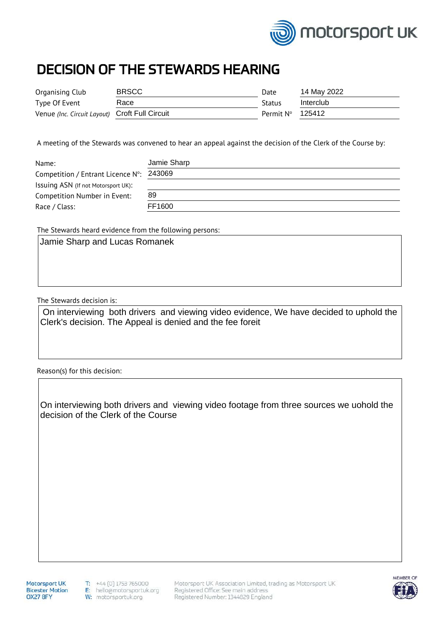

## DECISION OF THE STEWARDS HEARING

| Organising Club                                | <b>BRSCC</b> | Date          | 14 May 2022 |
|------------------------------------------------|--------------|---------------|-------------|
| Type Of Event                                  | Race         | <b>Status</b> | Interclub   |
| Venue (Inc. Circuit Layout) Croft Full Circuit |              | Permit N°     | 125412      |

A meeting of the Stewards was convened to hear an appeal against the decision of the Clerk of the Course by:

| Name:                               | Jamie Sharp |
|-------------------------------------|-------------|
| Competition / Entrant Licence N°:   | 243069      |
| Issuing ASN (If not Motorsport UK): |             |
| Competition Number in Event:        | 89          |
| Race / Class:                       | FF1600      |

The Stewards heard evidence from the following persons:

The Stewards decision is:

On interviewing both drivers and viewing video evidence, We have decided to uphold the Clerk's decision. The Appeal is denied and the fee foreit

Reason(s) for this decision:

On interviewing both drivers and viewing video footage from three sources we uohold the decision of the Clerk of the Course

Motorsport UK **Bicester Motion** OX27 8FY